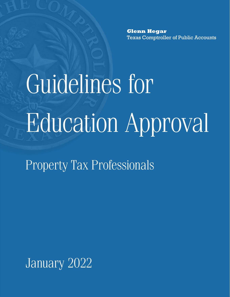**Glenn Hegar** Texas Comptroller of Public Accounts

Guidelines for Education Approval

Property Tax Professionals

January 2022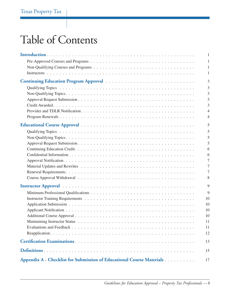# Table of Contents

|                                                                       | 1  |
|-----------------------------------------------------------------------|----|
|                                                                       | 1  |
|                                                                       |    |
|                                                                       | 1  |
|                                                                       | 3  |
|                                                                       | 3  |
|                                                                       | 3  |
|                                                                       | 3  |
|                                                                       | 3  |
|                                                                       | 4  |
|                                                                       | 4  |
|                                                                       | 5  |
|                                                                       | 5  |
|                                                                       | 5  |
|                                                                       | 5  |
|                                                                       | 6  |
|                                                                       | 6  |
|                                                                       |    |
|                                                                       |    |
|                                                                       |    |
|                                                                       | 8  |
|                                                                       | 9  |
|                                                                       | 9  |
|                                                                       | 10 |
|                                                                       | 10 |
|                                                                       | 10 |
|                                                                       | 10 |
|                                                                       | 11 |
|                                                                       | 11 |
|                                                                       | 12 |
|                                                                       | 13 |
|                                                                       | 15 |
| Appendix A – Checklist for Submission of Educational Course Materials | 17 |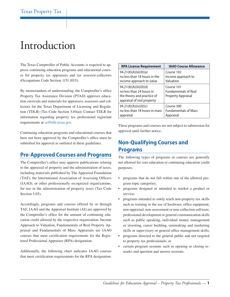## <span id="page-4-0"></span>Introduction

The Texas Comptroller of Public Accounts is required to approve continuing education programs and educational courses for property tax appraisers and tax assessor-collectors (Occupations Code Section 1151.1015).

By memorandum of understanding, the Comptroller's office Property Tax Assistance Division (PTAD) approves education curricula and materials for appraisers, assessors and collectors for the Texas Department of Licensing and Regulation (TDLR) (Tax Code Section 5.04(a)). Contact TDLR for information regarding property tax professional registrant requirements at [ce@tdlr.texas.gov.](mailto:ce%40tdlr.texas.gov?subject=)

Continuing education programs and educational courses that have not been approved by the Comptroller's office must be submitted for approval as outlined in these guidelines.

### **Pre-Approved Courses and Programs**

The Comptroller's office may approve publications relating to the appraisal of property and the administration of taxes, including materials published by The Appraisal Foundation (TAF), the International Association of Assessing Officers (IAAO), or other professionally recognized organizations, for use in the administration of property taxes (Tax Code Section 5.05).

Accordingly, programs and courses offered by or through TAF, IAAO and the Appraisal Institute (AI) are approved by the Comptroller's office for the amount of continuing education credit allowed by the respective organization. Income Approach to Valuation, Fundamentals of Real Property Appraisal and Fundamentals of Mass Appraisals are IAAO courses that meet certification requirements for the Registered Professional Appraiser (RPA) designation.

Additionally, the following chart indicates IAAO courses that meet certification requirements for the RPA designation.

| <b>RPA License Requirement</b>                                                                                  | <b>IAAO Course Allowance</b>                                           |
|-----------------------------------------------------------------------------------------------------------------|------------------------------------------------------------------------|
| 94.21(8)(A)(iii)(II)(a)                                                                                         | Course 102                                                             |
| no less than 18 hours in the                                                                                    | Income approach to                                                     |
| income approach to value                                                                                        | Valuation                                                              |
| 94.21(8)(A)(iii)(II)(d)<br>no less than 24 hours in<br>the theory and practice of<br>appraisal of real property | Course 101<br><b>Fundamentals of Real</b><br><b>Property Appraisal</b> |
| 94.21(8)(A)(iv)(II)(c)                                                                                          | Course 300                                                             |
| no less than 18 hours in mass                                                                                   | <b>Fundamentals of Mass</b>                                            |
| appraisal                                                                                                       | Appraisal                                                              |

These programs and courses are not subject to submission for approval until further notice.

## **Non-Qualifying Courses and Programs**

The following types of programs or courses are generally not allowed for core education or continuing education credit purposes:

- programs that do not fall within one of the allowed program topic categories;
- programs designed or intended to market a product or service;
- programs intended to solely teach non-property tax skills such as training in the use of hardware, office equipment, non-appraisal, non-assessment or non-collection software, professional development or general communication skills such as public speaking, individual money management or investing, career building, rainmaking and marketing skills or supervisory or general office management skills;
- programs directed to the general public and not targeted to property tax professionals; or
- certain program sessions such as opening or closing remarks and question and answer sessions.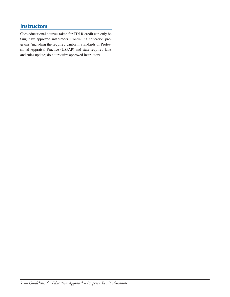## **Instructors**

Core educational courses taken for TDLR credit can only be taught by approved instructors. Continuing education programs (including the required Uniform Standards of Professional Appraisal Practice (USPAP) and state-required laws and rules update) do not require approved instructors.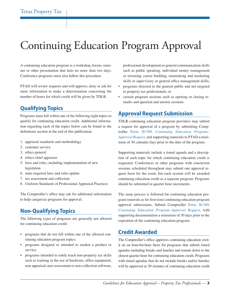# <span id="page-6-0"></span>Continuing Education Program Approval

A continuing education program is a workshop, forum, seminar or other presentation that lasts no more than two days. Conference programs must also follow this procedure.

PTAD will review requests and will approve, deny or ask for more information to make a determination concerning the number of hours for which credit will be given by TDLR.

## **Qualifying Topics**

Programs must fall within one of the following eight topics to qualify for continuing education credit. Additional information regarding each of the topics below can be found in the definitions section at the end of this publication.

- 1. appraisal standards and methodology
- 2. customer service
- 3. ethics-general
- 4. ethics-chief appraiser
- 5. laws and rules, including implementation of new legislation
- 6. state-required laws and rules update
- 7. tax assessment and collection
- 8. Uniform Standards of Professional Appraisal Practices

The Comptroller's office may ask for additional information to help categorize programs for approval.

## **Non-Qualifying Topics**

The following types of programs are generally not allowed for continuing education credit:

- programs that do not fall within one of the allowed continuing education program topics;
- programs designed or intended to market a product or service;
- programs intended to solely teach non-property tax skills such as training in the use of hardware, office equipment, non-appraisal, non-assessment or non-collection software,

professional development or general communication skills such as public speaking, individual money management or investing, career building, rainmaking and marketing skills or supervisory or general office management skills;

- programs directed to the general public and not targeted to property tax professionals; or
- certain program sessions such as opening or closing remarks and question and answer sessions.

## **Approval Request Submission**

TDLR continuing education program providers may submit a request for approval of a program by submitting Comptroller Form 50-769, *[Continuing Education Program–](http://comptroller.texas.gov/forms/50-769.pdf) [Approval Request](http://comptroller.texas.gov/forms/50-769.pdf)*, and supporting materials to PTAD a minimum of 30 calendar days prior to the date of the program.

Supporting materials include a timed agenda and a description of each topic for which continuing education credit is requested. Conferences or other programs with concurrent sessions scheduled throughout may submit one approval request form for the event, but each session will be awarded continuing education credit as a separate program. Programs should be submitted in quarter hour increments.

The same process is followed for continuing education program renewals as for first-time continuing education program approval submissions. Submit Comptroller [Form 50-769,](http://comptroller.texas.gov/forms/50-769.pdf) *[Continuing Education Program–Approval Request](http://comptroller.texas.gov/forms/50-769.pdf)*, with supporting documentation a minimum of 30 days prior to the expiration of the continuing education program.

### **Credit Awarded**

The Comptroller's office approves continuing education credit on an hour-for-hour basis for programs that submit timed agendas including breaks and lunches and rounds down to the closest quarter hour for continuing education credit. Programs with timed agendas that do not include breaks and/or lunches will be approved as 50 minutes of continuing education credit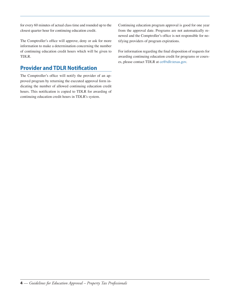<span id="page-7-0"></span>for every 60 minutes of actual class time and rounded up to the closest quarter hour for continuing education credit.

The Comptroller's office will approve, deny or ask for more information to make a determination concerning the number of continuing education credit hours which will be given to TDLR.

## **Provider and TDLR Notification**

The Comptroller's office will notify the provider of an approved program by returning the executed approval form indicating the number of allowed continuing education credit hours. This notification is copied to TDLR for awarding of continuing education credit hours in TDLR's system.

Continuing education program approval is good for one year from the approval date. Programs are not automatically renewed and the Comptroller's office is not responsible for notifying providers of program expirations.

For information regarding the final disposition of requests for awarding continuing education credit for programs or courses, please contact TDLR at [ce@tdlr.texas.gov.](mailto:ce%40tdlr.texas.gov?subject=)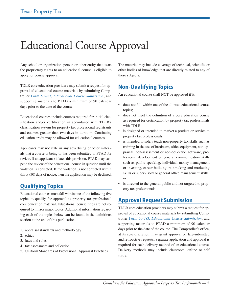# <span id="page-8-0"></span>Educational Course Approval

Any school or organization, person or other entity that owns the proprietary rights to an educational course is eligible to apply for course approval.

TDLR core education providers may submit a request for approval of educational course materials by submitting Comptroller Form 50-783, *[Educational Course Submission](http://comptroller.texas.gov/forms/50-783.pdf)*, and supporting materials to PTAD a minimum of 90 calendar days prior to the date of the course.

Educational courses include courses required for initial classification and/or certification in accordance with TDLR's classification system for property tax professional registrants and courses greater than two days in duration. Continuing education credit may be allowed for educational courses.

Applicants may not state in any advertising or other materials that a course is being or has been submitted to PTAD for review. If an applicant violates this provision, PTAD may suspend the review of the educational course in question until the violation is corrected. If the violation is not corrected within thirty (30) days of notice, then the application may be declined.

## **Qualifying Topics**

Educational courses must fall within one of the following five topics to qualify for approval as property tax professional core education material. Educational course titles are not required to mirror major topics. Additional information regarding each of the topics below can be found in the definitions section at the end of this publication.

- 1. appraisal standards and methodology
- 2. ethics
- 3. laws and rules
- 4. tax assessment and collection
- 5. Uniform Standards of Professional Appraisal Practices

The material may include coverage of technical, scientific or other bodies of knowledge that are directly related to any of these subjects.

### **Non-Qualifying Topics**

An educational course shall NOT be approved if it:

- does not fall within one of the allowed educational course topics;
- does not meet the definition of a core education course as required for certification by property tax professionals with TDLR;
- is designed or intended to market a product or service to property tax professionals;
- is intended to solely teach non-property tax skills such as training in the use of hardware, office equipment, non-appraisal, non-assessment or non-collection software, professional development or general communication skills such as public speaking, individual money management or investing, career building, rainmaking and marketing skills or supervisory or general office management skills; or
- is directed to the general public and not targeted to property tax professionals.

### **Approval Request Submission**

TDLR core education providers may submit a request for approval of educational course materials by submitting Comptroller Form 50-783, *Educational Course Submission*, and supporting materials to PTAD a minimum of 90 calendar days prior to the date of the course. The Comptroller's office, at its sole discretion, may grant approval on late-submitted and retroactive requests. Separate application and approval is required for each delivery method of an educational course. Delivery methods may include classroom, online or self study.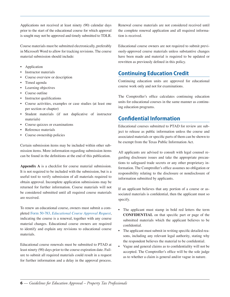<span id="page-9-0"></span>Applications not received at least ninety (90) calendar days prior to the start of the educational course for which approval is sought may not be approved and timely submitted to TDLR.

Course materials must be submitted electronically, preferably in Microsoft Word to allow for tracking revisions. The course material submission should include:

- **Application**
- Instructor materials
- Course overview or description
- Timed agenda
- Learning objectives
- Course outline
- Instructor qualifications
- Course activities, examples or case studies (at least one per section or chapter)
- Student materials (if not duplicative of instructor materials)
- Course quizzes or examinations
- Reference materials
- Course ownership policies

Certain submission items may be included within other submission items. More information regarding submission items can be found in the definitions at the end of this publication.

**Appendix A** is a checklist for course material submission. It is not required to be included with the submission, but is a useful tool to verify submission of all materials required to obtain approval. Incomplete application submissions may be returned for further information. Course materials will not be considered submitted until all required course materials are received.

To renew an educational course, owners must submit a completed Form 50-783, *[Educational Course Approval Request](http://comptroller.texas.gov/forms/50-783.pdf)*, indicating the course is a renewal, together with any course material changes. Educational course owners are required to identify and explain any revisions to educational course materials.

Educational course renewals must be submitted to PTAD at least ninety (90) days prior to the course expiration date. Failure to submit all required materials could result in a request for further information and a delay in the approval process. Renewal course materials are not considered received until the complete renewal application and all required information is received.

Educational course owners are not required to submit previously-approved course materials unless substantive changes have been made and material is required to be updated or rewritten as previously defined in this policy.

## **Continuing Education Credit**

Continuing education units are approved for educational course work only and not for examinations.

The Comptroller's office calculates continuing education units for educational courses in the same manner as continuing education programs.

## **Confidential Information**

Educational courses submitted to PTAD for review are subject to release as public information unless the course and associated materials or specific parts of them can be shown to be exempt from the Texas Public Information Act.

All applicants are advised to consult with legal counsel regarding disclosure issues and take the appropriate precautions to safeguard trade secrets or any other proprietary information. The Comptroller's office assumes no obligation or responsibility relating to the disclosure or nondisclosure of information submitted by applicants.

If an applicant believes that any portion of a course or associated materials is confidential, then the applicant must so specify.

- The applicant must stamp in bold red letters the term **CONFIDENTIAL** on that specific part or page of the submitted materials which the applicant believes to be confidential.
- The applicant must submit in writing specific detailed reasons, including any relevant legal authority, stating why the respondent believes the material to be confidential.
- Vague and general claims as to confidentiality will not be accepted. The Comptroller's office will be the sole judge as to whether a claim is general and/or vague in nature.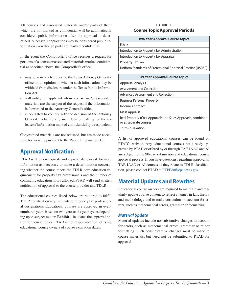<span id="page-10-0"></span>All courses and associated materials and/or parts of them which are not marked as confidential will be automatically considered public information after the approval is determined. Successful applications may be considered public information even though parts are marked confidential.

In the event the Comptroller's office receives a request for portions of a course or associated materials marked confidential as specified above, the Comptroller's office:

- may forward such request to the Texas Attorney General's office for an opinion on whether such information may be withheld from disclosure under the Texas Public Information Act.
- will notify the applicant whose course and/or associated materials are the subject of the request if the information is forwarded to the Attorney General's office.
- is obligated to comply with the decision of the Attorney General, including any such decision calling for the release of information marked **confidential** by a respondent.

Copyrighted materials are not released, but are made accessible for viewing pursuant to the Public Information Act.

## **Approval Notification**

PTAD will review requests and approve, deny or ask for more information as necessary to make a determination concerning whether the course meets the TDLR core education requirement for property tax professionals and the number of continuing education hours allowed. PTAD will send written notification of approval to the course provider and TDLR.

The educational courses listed below are required to fulfill TDLR certification requirements for property tax professional designations. Educational courses are approved in evennumbered years based on two-year or six-year cycles depending upon subject matter. **Exhibit 1** indicates the approval period for course topics. PTAD is not responsible for notifying educational course owners of course expiration dates.

#### EXHIBIT 1 **Course Topic Approval Periods**

| <b>Two-Year Approval Course Topics</b>                       |
|--------------------------------------------------------------|
| <b>Fthics</b>                                                |
| Introduction to Property Tax Administration                  |
| Introduction to Property Tax Appraisal                       |
| Property Tax Law                                             |
| Uniform Standards of Professional Appraisal Practice (USPAP) |
|                                                              |

| <b>Six-Year Approval Course Topics</b>                    |
|-----------------------------------------------------------|
| <b>Appraisal Analysis</b>                                 |
| Assessment and Collection                                 |
| <b>Advanced Assessment and Collection</b>                 |
| <b>Business Personal Property</b>                         |
| Income Approach                                           |
| <b>Mass Appraisal</b>                                     |
| Real Property (Cost Approach and Sales Approach, combined |
| or as separate courses)                                   |
| Truth-in-Taxation                                         |

A list of approved educational courses can be found on PTAD's website. Any educational courses not already approved by PTAD or offered by or through TAF, IAAO and AI are subject to the 90-day submission and educational course approval process. If you have questions regarding approval of TAF, IAAO or AI courses as they relate to TDLR classification, please contact PTAD at [PTPEdu@cpa.texas.gov](mailto:PTPEdu%40cpa.texas.gov?subject=).

## **Material Updates and Rewrites**

Educational course owners are required to maintain and regularly update course content to reflect changes in law, theory and methodology and to make corrections to account for errors, such as mathematical errors, grammar or formatting.

#### *Material Update*

Material updates include nonsubstantive changes to account for errors, such as mathematical errors, grammar or minor formatting. Such nonsubstantive changes must be made to course materials, but need not be submitted to PTAD for approval.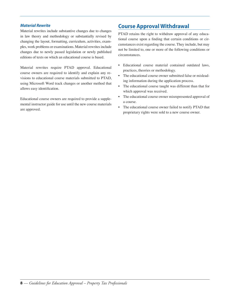#### <span id="page-11-0"></span>*Material Rewrite*

Material rewrites include substantive changes due to changes in law theory and methodology or substantially revised by changing the layout, formatting, curriculum, activities, examples, work problems or examinations. Material rewrites include changes due to newly passed legislation or newly published editions of texts on which an educational course is based.

Material rewrites require PTAD approval. Educational course owners are required to identify and explain any revisions to educational course materials submitted to PTAD, using Microsoft Word track changes or another method that allows easy identification.

Educational course owners are required to provide a supplemental instructor guide for use until the new course materials are approved.

## **Course Approval Withdrawal**

PTAD retains the right to withdraw approval of any educational course upon a finding that certain conditions or circumstances exist regarding the course. They include, but may not be limited to, one or more of the following conditions or circumstances.

- Educational course material contained outdated laws, practices, theories or methodology.
- The educational course owner submitted false or misleading information during the application process.
- The educational course taught was different than that for which approval was received.
- The educational course owner misrepresented approval of a course.
- The educational course owner failed to notify PTAD that proprietary rights were sold to a new course owner.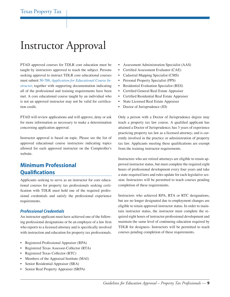## <span id="page-12-0"></span>Instructor Approval

PTAD approved courses for TDLR core education must be taught by instructors approved to teach the subject. Persons seeking approval to instruct TDLR core educational courses must submit 50-788, *[Application for Educational Course In](comptroller.texas.gov/forms/50-788.pdf)[structor](comptroller.texas.gov/forms/50-788.pdf)*, together with supporting documentation indicating all of the professional and training requirements have been met. A core educational course taught by an individual who is not an approved instructor may not be valid for certification credit.

PTAD will review applications and will approve, deny or ask for more information as necessary to make a determination concerning application approval.

Instructor approval is based on topic. Please see the list of approved educational course instructors indicating topics allowed for each approved instructor on the Comptroller's website.

## **Minimum Professional Qualifications**

Applicants seeking to serve as an instructor for core educational courses for property tax professionals seeking certification with TDLR must hold one of the required professional credentials and satisfy the professional experience requirements.

#### *Professional Credentials*

An instructor applicant must have achieved one of the following professional designations or be an employee of a law firm who reports to a licensed attorney and is specifically involved with instruction and education for property tax professionals.

- Registered Professional Appraiser (RPA)
- Registered Texas Assessor-Collector (RTA)
- Registered Texas Collector (RTC)
- Members of the Appraisal Institute (MAI)
- Senior Residential Appraiser (SRA)
- Senior Real Property Appraiser (SRPA)
- Assessment Administration Specialist (AAS)
- Certified Assessment Evaluator (CAE)
- Cadastral Mapping Specialist (CMS)
- Personal Property Specialist (PPS)
- Residential Evaluation Specialist (RES)
- Certified General Real Estate Appraiser
- Certified Residential Real Estate Appraiser
- State Licensed Real Estate Appraiser
- Doctor of Jurisprudence (JD)

Only a person with a Doctor of Jurisprudence degree may teach a property tax law course. A qualified applicant has attained a Doctor of Jurisprudence; has 3 years of experience practicing property tax law as a licensed attorney; and is currently involved in the practice or administration of property tax law. Applicants meeting these qualifications are exempt from the training instructor requirements.

Instructors who are retired attorneys are eligible to retain approved instructor status, but must complete the required eight hours of professional development every four years and take a state-required laws and rules update for each legislative session. Instructors will be permitted to teach courses pending completion of these requirements.

Instructors who achieved RPA, RTA or RTC designations, but are no longer designated due to employment changes are eligible to retain approved instructor status. In order to maintain instructor status, the instructor must complete the required eight hours of instructor professional development and maintain the same level of continuing education required by TDLR for designees. Instructors will be permitted to teach courses pending completion of these requirements.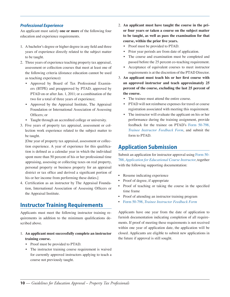#### <span id="page-13-0"></span>*Professional Experience*

An applicant must satisfy **one or more** of the following four education and experience requirements.

- 1. A bachelor's degree or higher degree in any field and three years of experience directly related to the subject matter to be taught.
- 2. Three years of experience teaching property tax appraisal, assessment or collection courses that meet at least one of the following criteria (distance education cannot be used as teaching experience):
	- Approved by Board of Tax Professional Examiners (BTPE) and preapproved by PTAD; approved by PTAD on or after Jan. 1, 2011; or a combination of the two for a total of three years of experience;
	- Approved by the Appraisal Institute, The Appraisal Foundation or International Association of Assessing Officers; or
	- Taught through an accredited college or university.
- 3. Five years of property tax appraisal, assessment or collection work experience related to the subject matter to be taught.

[One year of property tax appraisal, assessment or collection experience. A year of experience for this qualification is defined as a calendar year in which the individual spent more than 50 percent of his or her professional time appraising, assessing or collecting taxes on real property, personal property or business property for an appraisal district or tax office and derived a significant portion of his or her income from performing these duties.]

4. Certification as an instructor by The Appraisal Foundation, International Association of Assessing Officers or the Appraisal Institute.

### **Instructor Training Requirements**

Applicants must meet the following instructor training requirements in addition to the minimum qualifications described above.

- 1. **An applicant must successfully complete an instructor training course.**
	- Proof must be provided to PTAD.
	- The instructor training course requirement is waived for currently approved instructors applying to teach a course not previously taught.
- 2. **An applicant must have taught the course in the prior four years or taken a course on the subject matter to be taught, as well as pass the examination for that course, within the prior five years.**
	- Proof must be provided to PTAD.
	- Prior year periods are from date of application.
	- The course and examination must be completed and passed before the 25 percent co-teaching requirement.
	- Acceptance of equivalent courses to meet instructor requirements is at the discretion of the PTAD Director.
- 3. **An applicant must teach his or her first course with an approved instructor and teach approximately 25 percent of the course, excluding the last 25 percent of the course.**
	- The trainee must attend the entire course.
	- PTAD will not reimburse expenses for travel or course registration associated with meeting this requirement.
	- The instructor will evaluate the applicant on his or her performance during the training assignment, provide feedback for the trainee on PTAD's [Form 50-798,](comptroller.texas.gov/forms/50-798.pdf)  *[Trainee Instructor Feedback Form](comptroller.texas.gov/forms/50-798.pdf)*, and submit the form to PTAD.

## **Application Submission**

Submit an application for instructor approval using [Form 50-](comptroller.texas.gov/forms/50-788.pdf) 788, *[Application for Educational Course Instructor](comptroller.texas.gov/forms/50-788.pdf)*, together with the following supporting documentation:

- Resume indicating experience
- Proof of degree, if appropriate
- Proof of teaching or taking the course in the specified time frame
- Proof of attending an instructor training program
- Form 50-798, *[Trainee Instructor Feedback Form](comptroller.texas.gov/forms/50-798.pdf)*

Applicants have one year from the date of application to furnish documentation indicating completion of all requirements. If proof of meeting these requirements is not received within one year of application date, the application will be closed. Applicants are eligible to submit new applications in the future if approval is still sought.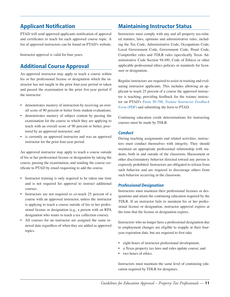## <span id="page-14-0"></span>**Applicant Notification**

PTAD will send approved applicants notification of approval and certificates to teach for each approved course topic. A list of approved instructors can be found on PTAD's website.

Instructor approval is valid for four years.

## **Additional Course Approval**

An approved instructor may apply to teach a course within his or her professional license or designation which the instructor has not taught in the prior four-year period or taken and passed the examination in the prior five-year period if the instructor:

- demonstrates mastery of instruction by receiving an overall score of 90 percent or better from student evaluations;
- demonstrates mastery of subject content by passing the examination for the course in which they are applying to teach with an overall score of 90 percent or better, proctored by an approved instructor; and
- is currently an approved instructor and was an approved instructor for the prior four-year period.

An approved instructor may apply to teach a course outside of his or her professional license or designation by taking the course, passing the examination, and sending the course certificate to PTAD by email requesting to add the course.

- Instructor training is only required to be taken one time and is not required for approval to instruct additional courses.
- Instructors are not required to co-teach 25 percent of a course with an approved instructor, unless the instructor is applying to teach a course outside of his or her professional license or designation (e.g., a person with an RPA designation who wants to teach a tax collection course).
- All courses for an instructor are assigned the same renewal date regardless of when they are added as approved topics.

## **Maintaining Instructor Status**

Instructors must comply with any and all property tax-related statutes, laws, opinions and administrative rules, including the Tax Code, Administrative Code, Occupations Code, Local Government Code, Government Code, Penal Code, Comptroller rules and TDLR rules (specifically Texas Administrative Code Section 94.100, Code of Ethics) or other applicable professional ethics policies or standards for licensure or designation.

Regular instructors are required to assist in training and evaluating instructor applicants. This includes allowing an applicant to teach 25 percent of a course the approved instructor is teaching, providing feedback for the trainee instructor on PTAD's Form 50-798, *[Trainee Instructor Feedback](comptroller.texas.gov/forms/50-798.pdf) Form* [\(PDF\)](comptroller.texas.gov/forms/50-798.pdf) and submitting the form to PTAD.

Continuing education credit determinations for instructing courses must be made by TDLR.

#### *Conduct*

During teaching assignments and related activities, instructors must conduct themselves with integrity. They should maintain an appropriate professional relationship with students, both in and outside of the classroom. Harassment or other discriminatory behavior directed toward any person is expressly prohibited. Instructors are obligated to refrain from such behavior and are required to discourage others from such behavior occurring in the classroom.

#### *Professional Designation*

Instructors must maintain their professional licenses or designations and attain the continuing education required by the TDLR. If an instructor fails to maintain his or her professional license or designation, instructor approval expires at the time that the license or designation expires.

Instructors who no longer have a professional designation due to employment changes are eligible to reapply at their fouryear expiration date, but are required to first take

- eight hours of instructor professional development;
- a Texas property tax laws and rules update course; and
- two hours of ethics.

Instructors must maintain the same level of continuing education required by TDLR for designees.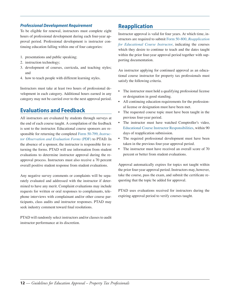#### <span id="page-15-0"></span>*Professional Development Requirement*

To be eligible for renewal, instructors must complete eight hours of professional development during each four-year approval period. Professional development is instructor continuing education falling within one of four categories:

- 1. presentations and public speaking;
- 2. instruction technology;
- 3. development of courses, curricula, and teaching styles; and
- 4. how to teach people with different learning styles.

Instructors must take at least two hours of professional development in each category. Additional hours earned in any category may not be carried over to the next approval period.

## **Evaluations and Feedback**

All instructors are evaluated by students through surveys at the end of each course taught. A compilation of the feedback is sent to the instructor. Educational course sponsors are responsible for returning the completed [Form 50-799,](comptroller.texas.gov/forms/50-799.pdf) *Instruc[tor Observation and Evaluation Forms](comptroller.texas.gov/forms/50-799.pdf)* (PDF) to PTAD. In the absence of a sponsor, the instructor is responsible for returning the forms. PTAD will use information from student evaluations to determine instructor approval during the reapproval process. Instructors must also receive a 70 percent overall positive student response from student evaluations.

Any negative survey comments or complaints will be separately evaluated and addressed with the instructor if determined to have any merit. Complaint evaluations may include requests for written or oral responses to complainants, telephone interviews with complainant and/or other course participants, class audits and instructor responses. PTAD may seek industry comment toward final resolutions.

PTAD will randomly select instructors and/or classes to audit instructor performance at its discretion.

## **Reapplication**

Instructor approval is valid for four years. At which time, instructors are required to submit [Form 50-800,](http://comptroller.texas.gov/forms/50-798.pdf) *Reapplication [for Educational Course Instructor](http://comptroller.texas.gov/forms/50-798.pdf)*, indicating the courses which they desire to continue to teach and the dates taught within the prior four-year approval period together with supporting documentation.

An instructor applying for continued approval as an educational course instructor for property tax professionals must satisfy the following criteria.

- The instructor must hold a qualifying professional license or designation in good standing.
- All continuing education requirements for the professional license or designation must have been met.
- The requested course topic must have been taught in the previous four-year period.
- The instructor must have watched Comptroller's video, [Educational Course Instructor Responsibilities,](https://comptroller.texas.gov/taxes/property-tax/video/instructor-training/story.html) within 90 days of reapplication submission.
- The required professional development must have been taken in the previous four-year approval period.
- The instructor must have received an overall score of 70 percent or better from student evaluations.

Approval automatically expires for topics not taught within the prior four-year approval period. Instructors may, however, take the course, pass the exam, and submit the certificate requesting that the topic be added for approval.

PTAD uses evaluations received for instructors during the expiring approval period to verify courses taught.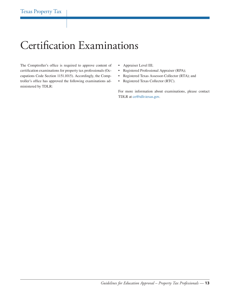## <span id="page-16-0"></span>Certification Examinations

The Comptroller's office is required to approve content of certification examinations for property tax professionals (Occupations Code Section 1151.1015). Accordingly, the Comptroller's office has approved the following examinations administered by TDLR:

- Appraiser Level III;
- Registered Professional Appraiser (RPA);
- Registered Texas Assessor-Collector (RTA); and
- Registered Texas Collector (RTC).

For more information about examinations, please contact TDLR at [ce@tdlr.texas.gov.](mailto:ce%40tdlr.texas.gov?subject=)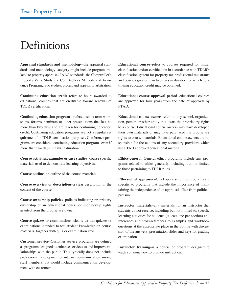## <span id="page-18-0"></span>Definitions

**Appraisal standards and methodology**–the appraisal standards and methodology category might include programs related to property appraisal, IAAO standards, the Comptroller's Property Value Study, the Comptroller's Methods and Assistance Program, ratio studies, protest and appeals or arbitration.

**Continuing education credit**–refers to hours awarded to educational courses that are creditable toward renewal of TDLR certification.

**Continuing education program** – refers to short-term workshops, forums, seminars or other presentations that last no more than two days and are taken for continuing education credit. Continuing education programs are not a regular requirement for TDLR certification purposes. Conference programs are considered continuing education programs even if more than two days in days in duration.

**Course activities, examples or case studies**–course specific materials used to demonstrate learning objectives.

**Course outline**–an outline of the course materials.

**Course overview or description**–a clear description of the content of the course.

**Course ownership policies**–policies indicating proprietary ownership of an educational course or sponsorship rights granted from the proprietary owner.

**Course quizzes or examinations**–clearly written quizzes or examinations intended to test student knowledge on course materials, together with quiz or examination keys.

**Customer service**–Customer service programs are defined as programs designed to enhance services to and improve relationships with the public. This typically does not include professional development or internal communication among staff members, but would include communication development with customers.

**Educational course**–refers to courses required for initial classification and/or certification in accordance with TDLR's classification system for property tax professional registrants and courses greater than two days in duration for which continuing education credit may be obtained.

**Educational course approval period**–educational courses are approved for four years from the date of approval by PTAD.

**Educational course owner**–refers to any school, organization, person or other entity that owns the proprietary rights to a course. Educational course owners may have developed their own materials or may have purchased the proprietary rights to course materials. Educational course owners are responsible for the actions of any secondary providers which use PTAD approved educational material.

**Ethics-general**–General ethics programs include any programs related to ethics generally, including, but not limited to those pertaining to TDLR rules.

**Ethics-chief appraiser**–Chief appraiser ethics programs are specific to programs that include the importance of maintaining the independence of an appraisal office from political pressure.

**Instructor materials**–any materials for an instructor that students do not receive, including but not limited to, specific learning activities for students (at least one per section) and references and cross-references to examples and workbook questions at the appropriate place in the outline with discussion of the answers, presentation slides and keys for grading examinations.

**Instructor training**–is a course or program designed to teach someone how to provide instruction.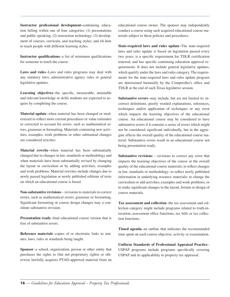**Instructor professional development–**continuing education falling within one of four categories: (1) presentations and public speaking; (2) instruction technology; (3) development of courses, curricula, and teaching styles; and (4) how to teach people with different learning styles.

**Instructor qualifications**–a list of minimum qualifications for someone to teach the course.

**Laws and rules**–Laws and rules programs may deal with any statutory laws, administrative agency rules or general legislative updates.

**Learning objectives**–the specific, measurable, attainable and relevant knowledge or skills students are expected to acquire by completing the course.

**Material update**–when material has been changed or modernized to reflect more current procedures or value estimates or corrected to account for errors, such as mathematical errors, grammar or formatting. Materials containing new activities, examples, work problems or other substantial changes are considered rewrites.

**Material rewrite**–when material has been substantially changed due to changes in law, standards or methodology and when materials have been substantially revised by changing the layout or curriculum or by adding activities, examples and work problems. Material rewrites include changes due to newly passed legislation or newly published editions of texts on which an educational course is based.

**Non-substantive revisions** – revisions to materials to correct errors, such as mathematical errors, grammar or formatting. Significant formatting or course design changes may a constitute substantive revision.

**Presentation ready**–final educational course version that is free of substantive errors.

**Reference materials**–copies of or electronic links to statutes, laws, rules or standards being taught.

**Sponsor**–a school, organization, person or other entity that purchases the rights to (but not proprietary rights) or otherwise lawfully acquires PTAD-approved material from an educational course owner. The sponsor may independently conduct a course using such acquired educational course materials subject to these policies and procedures.

**State-required laws and rules update**–The state-required laws and rules update is based on legislation passed every two years; is a specific requirement for TDLR certification renewal; and has specific continuing education approval requirements. It does not include general legislative updates, which qualify under the laws and rules category. The requirements for the state-required laws and rules update program are determined biennially by the Comptroller's office and TDLR at the end of each Texas legislative session.

**Substantive errors**–may include, but are not limited to: incorrect definitions, poorly worded explanations, references, techniques and/or application of techniques or any error which impacts the learning objectives of the educational course. An educational course may be considered to have substantive errors if it contains a series of errors which might not be considered significant individually, but in the aggregate affects the overall quality of the educational course material. Substantive errors result in an educational course not being presentation ready.

**Substantive revisions** – revisions to correct any error that impacts the learning objectives of the course or the overall quality of the educational course materials; to reflect changes in law, standards or methodology; to reflect newly published information in underlying resource materials; to change the curriculum or add activities, examples and work problems; or to make significant changes to the layout, format or design of course materials.

**Tax assessment and collection**–the tax assessment and collection category might include programs related to truth-intaxation, assessment office functions, tax bills or tax collection functions.

**Timed agenda**–an outline that indicates the recommended time spent on each course objective, activity or examination.

**Uniform Standards of Professional Appraisal Practice**– USPAP programs include programs specifically covering USPAP and its applicability to property tax appraisal.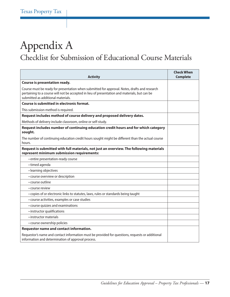## <span id="page-20-0"></span>Appendix A Checklist for Submission of Educational Course Materials

| <b>Activity</b>                                                                                                                                                                                                                      | <b>Check When</b><br><b>Complete</b> |
|--------------------------------------------------------------------------------------------------------------------------------------------------------------------------------------------------------------------------------------|--------------------------------------|
| Course is presentation ready.                                                                                                                                                                                                        |                                      |
| Course must be ready for presentation when submitted for approval. Notes, drafts and research<br>pertaining to a course will not be accepted in lieu of presentation and materials, but can be<br>submitted as additional materials. |                                      |
| Course is submitted in electronic format.                                                                                                                                                                                            |                                      |
| This submission method is required.                                                                                                                                                                                                  |                                      |
| Request includes method of course delivery and proposed delivery dates.                                                                                                                                                              |                                      |
| Methods of delivery include classroom, online or self-study.                                                                                                                                                                         |                                      |
| Request includes number of continuing education credit hours and for which category<br>sought.                                                                                                                                       |                                      |
| The number of continuing education credit hours sought might be different than the actual course<br>hours.                                                                                                                           |                                      |
| Request is submitted with full materials, not just an overview. The following materials<br>represent minimum submission requirements:                                                                                                |                                      |
| · entire presentation-ready course                                                                                                                                                                                                   |                                      |
| • timed agenda                                                                                                                                                                                                                       |                                      |
| • learning objectives                                                                                                                                                                                                                |                                      |
| • course overview or description                                                                                                                                                                                                     |                                      |
| • course outline                                                                                                                                                                                                                     |                                      |
| • course review                                                                                                                                                                                                                      |                                      |
| • copies of or electronic links to statutes, laws, rules or standards being taught                                                                                                                                                   |                                      |
| • course activities, examples or case studies                                                                                                                                                                                        |                                      |
| • course quizzes and examinations                                                                                                                                                                                                    |                                      |
| • instructor qualifications                                                                                                                                                                                                          |                                      |
| • instructor materials                                                                                                                                                                                                               |                                      |
| • course ownership policies                                                                                                                                                                                                          |                                      |
| Requestor name and contact information.                                                                                                                                                                                              |                                      |
| Requestor's name and contact information must be provided for questions, requests or additional<br>information and determination of approval process.                                                                                |                                      |